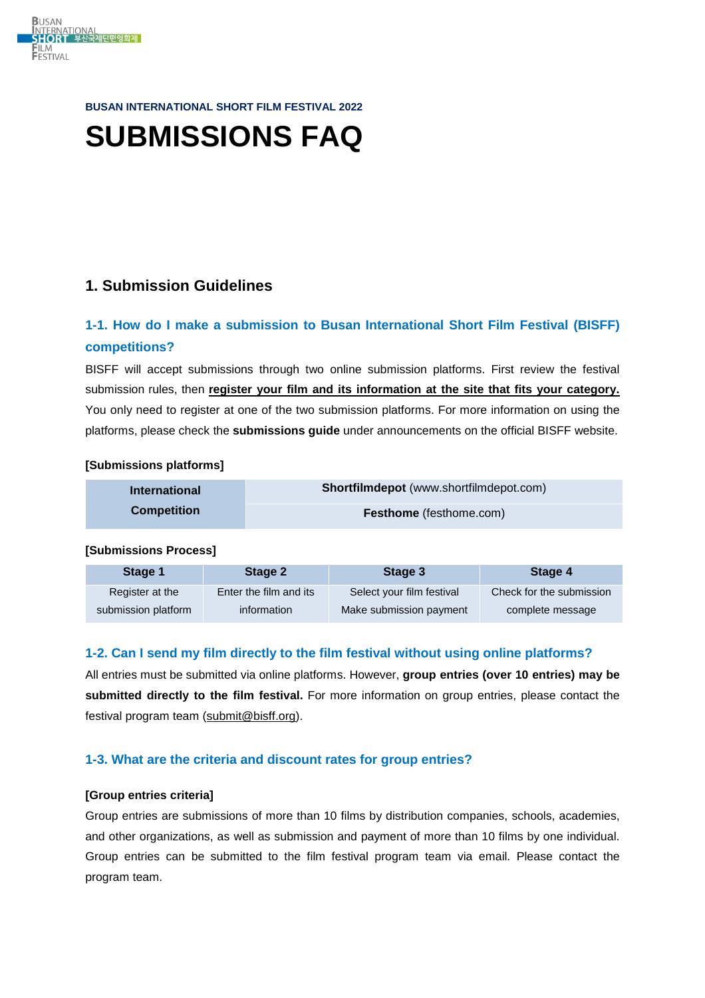

#### **BUSAN INTERNATIONAL SHORT FILM FESTIVAL 2022**

# **SUBMISSIONS FAQ**

## **1. Submission Guidelines**

# **1-1. How do I make a submission to Busan International Short Film Festival (BISFF) competitions?**

BISFF will accept submissions through two online submission platforms. First review the festival submission rules, then **register your film and its information at the site that fits your category.** You only need to register at one of the two submission platforms. For more information on using the platforms, please check the **submissions guide** under announcements on the official BISFF website.

## **[Submissions platforms]**

| <b>International</b> | Shortfilmdepot (www.shortfilmdepot.com) |
|----------------------|-----------------------------------------|
| <b>Competition</b>   | <b>Festhome</b> (festhome.com)          |

## **[Submissions Process]**

| Stage 1             | Stage 2                | Stage 3                   | Stage 4                  |
|---------------------|------------------------|---------------------------|--------------------------|
| Register at the     | Enter the film and its | Select your film festival | Check for the submission |
| submission platform | information            | Make submission payment   | complete message         |

## **1-2. Can I send my film directly to the film festival without using online platforms?**

All entries must be submitted via online platforms. However, **group entries (over 10 entries) may be submitted directly to the film festival.** For more information on group entries, please contact the festival program team [\(submit@bisff.org\)](mailto:submit@bisff.org).

## **1-3. What are the criteria and discount rates for group entries?**

## **[Group entries criteria]**

Group entries are submissions of more than 10 films by distribution companies, schools, academies, and other organizations, as well as submission and payment of more than 10 films by one individual. Group entries can be submitted to the film festival program team via email. Please contact the program team.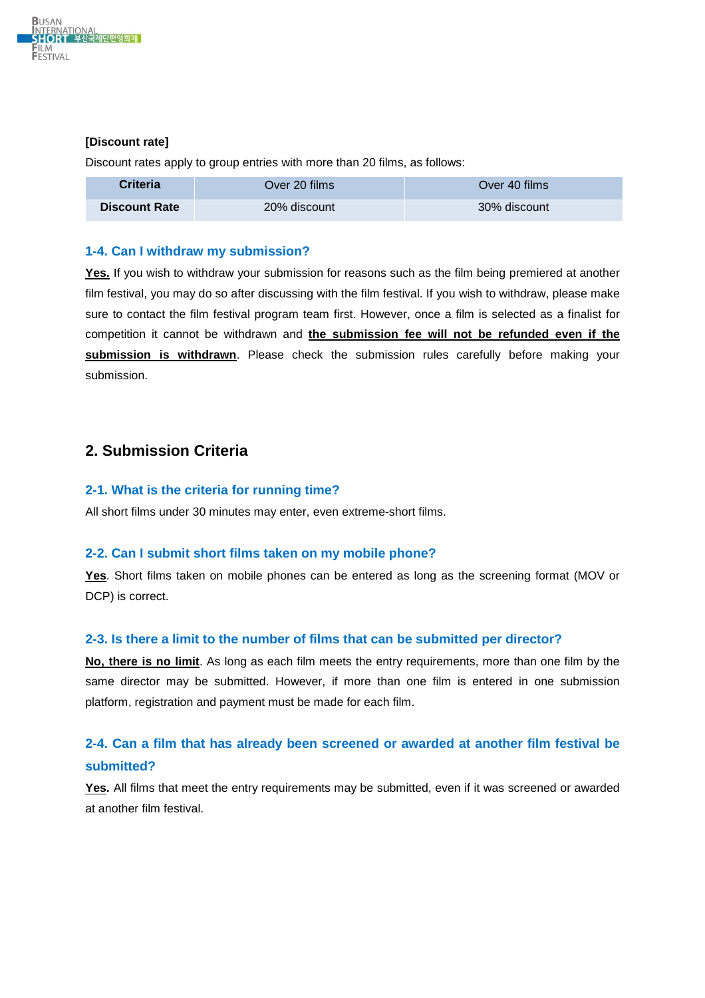

## **[Discount rate]**

Discount rates apply to group entries with more than 20 films, as follows:

| <b>Criteria</b>      | Over 20 films l | Over 40 films |
|----------------------|-----------------|---------------|
| <b>Discount Rate</b> | 20% discount    | 30% discount  |

#### **1-4. Can I withdraw my submission?**

Yes. If you wish to withdraw your submission for reasons such as the film being premiered at another film festival, you may do so after discussing with the film festival. If you wish to withdraw, please make sure to contact the film festival program team first. However, once a film is selected as a finalist for competition it cannot be withdrawn and **the submission fee will not be refunded even if the submission is withdrawn**. Please check the submission rules carefully before making your submission.

## **2. Submission Criteria**

#### **2-1. What is the criteria for running time?**

All short films under 30 minutes may enter, even extreme-short films.

#### **2-2. Can I submit short films taken on my mobile phone?**

**Yes**. Short films taken on mobile phones can be entered as long as the screening format (MOV or DCP) is correct.

## **2-3. Is there a limit to the number of films that can be submitted per director?**

**No, there is no limit**. As long as each film meets the entry requirements, more than one film by the same director may be submitted. However, if more than one film is entered in one submission platform, registration and payment must be made for each film.

## **2-4. Can a film that has already been screened or awarded at another film festival be submitted?**

**Yes.** All films that meet the entry requirements may be submitted, even if it was screened or awarded at another film festival.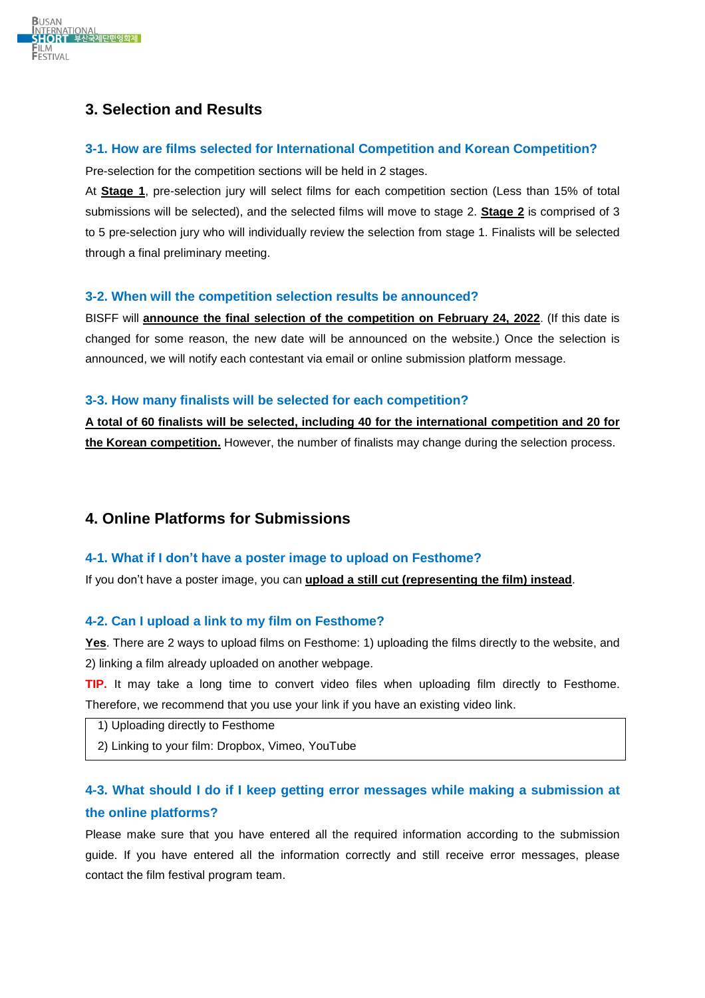

# **3. Selection and Results**

## **3-1. How are films selected for International Competition and Korean Competition?**

Pre-selection for the competition sections will be held in 2 stages.

At **Stage 1**, pre-selection jury will select films for each competition section (Less than 15% of total submissions will be selected), and the selected films will move to stage 2. **Stage 2** is comprised of 3 to 5 pre-selection jury who will individually review the selection from stage 1. Finalists will be selected through a final preliminary meeting.

## **3-2. When will the competition selection results be announced?**

BISFF will **announce the final selection of the competition on February 24, 2022**. (If this date is changed for some reason, the new date will be announced on the website.) Once the selection is announced, we will notify each contestant via email or online submission platform message.

## **3-3. How many finalists will be selected for each competition?**

**A total of 60 finalists will be selected, including 40 for the international competition and 20 for the Korean competition.** However, the number of finalists may change during the selection process.

## **4. Online Platforms for Submissions**

## **4-1. What if I don't have a poster image to upload on Festhome?**

If you don't have a poster image, you can **upload a still cut (representing the film) instead**.

## **4-2. Can I upload a link to my film on Festhome?**

**Yes**. There are 2 ways to upload films on Festhome: 1) uploading the films directly to the website, and 2) linking a film already uploaded on another webpage.

**TIP.** It may take a long time to convert video files when uploading film directly to Festhome. Therefore, we recommend that you use your link if you have an existing video link.

- 1) Uploading directly to Festhome
- 2) Linking to your film: Dropbox, Vimeo, YouTube

# **4-3. What should I do if I keep getting error messages while making a submission at the online platforms?**

Please make sure that you have entered all the required information according to the submission guide. If you have entered all the information correctly and still receive error messages, please contact the film festival program team.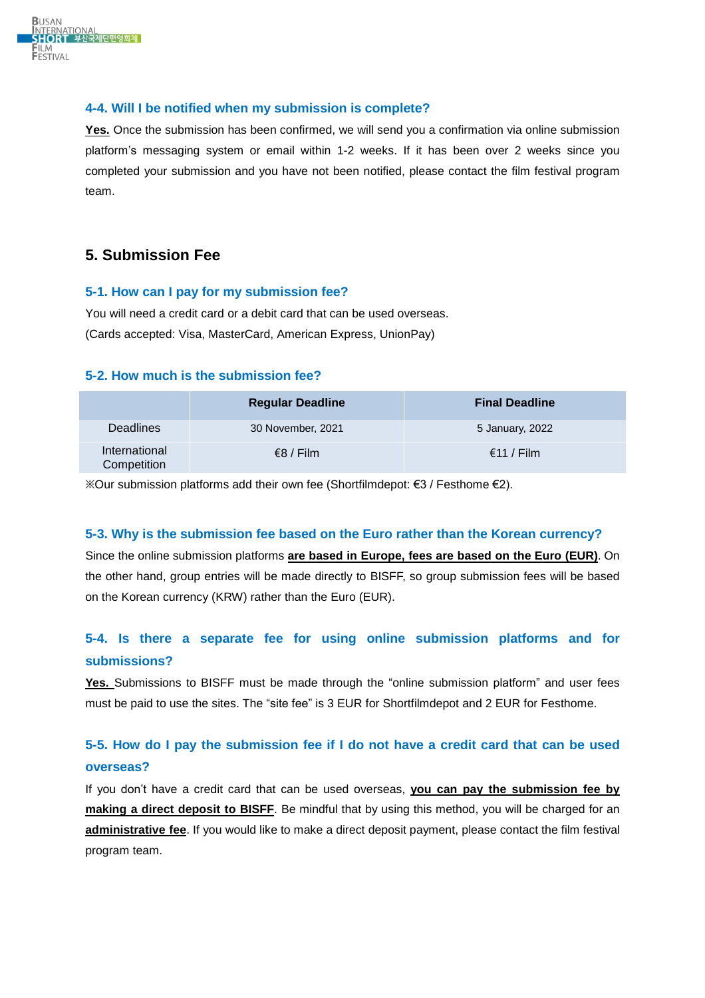

## **4-4. Will I be notified when my submission is complete?**

Yes. Once the submission has been confirmed, we will send you a confirmation via online submission platform's messaging system or email within 1-2 weeks. If it has been over 2 weeks since you completed your submission and you have not been notified, please contact the film festival program team.

## **5. Submission Fee**

## **5-1. How can I pay for my submission fee?**

You will need a credit card or a debit card that can be used overseas. (Cards accepted: Visa, MasterCard, American Express, UnionPay)

## **5-2. How much is the submission fee?**

|                              | <b>Regular Deadline</b> | <b>Final Deadline</b> |
|------------------------------|-------------------------|-----------------------|
| <b>Deadlines</b>             | 30 November, 2021       | 5 January, 2022       |
| International<br>Competition | $\epsilon$ 8 / Film     | €11 / Film            |

※Our submission platforms add their own fee (Shortfilmdepot: €3 / Festhome €2).

## **5-3. Why is the submission fee based on the Euro rather than the Korean currency?**

Since the online submission platforms **are based in Europe, fees are based on the Euro (EUR)**. On the other hand, group entries will be made directly to BISFF, so group submission fees will be based on the Korean currency (KRW) rather than the Euro (EUR).

# **5-4. Is there a separate fee for using online submission platforms and for submissions?**

**Yes.** Submissions to BISFF must be made through the "online submission platform" and user fees must be paid to use the sites. The "site fee" is 3 EUR for Shortfilmdepot and 2 EUR for Festhome.

# **5-5. How do I pay the submission fee if I do not have a credit card that can be used overseas?**

If you don't have a credit card that can be used overseas, **you can pay the submission fee by making a direct deposit to BISFF**. Be mindful that by using this method, you will be charged for an **administrative fee**. If you would like to make a direct deposit payment, please contact the film festival program team.